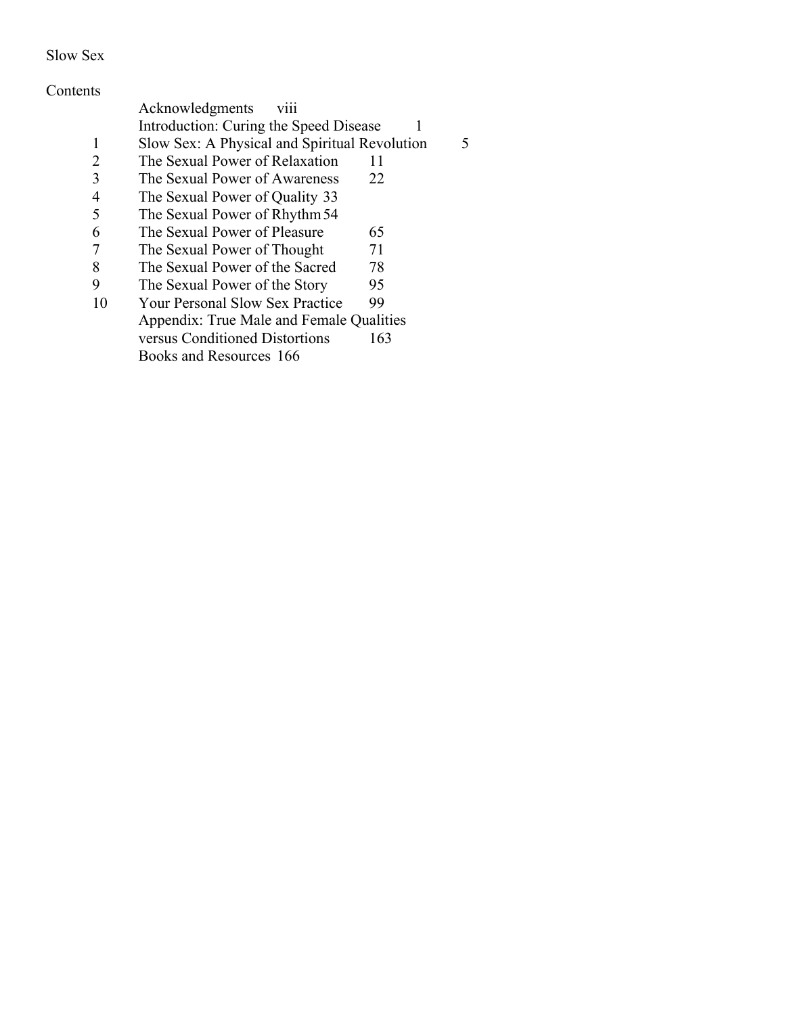## Slow Sex

## Contents

|    | Acknowledgments<br>V111                       |     |   |
|----|-----------------------------------------------|-----|---|
|    | Introduction: Curing the Speed Disease        |     |   |
|    | Slow Sex: A Physical and Spiritual Revolution |     | 5 |
| 2  | The Sexual Power of Relaxation                |     |   |
| 3  | The Sexual Power of Awareness                 | 22  |   |
|    | The Sexual Power of Quality 33                |     |   |
|    | The Sexual Power of Rhythm 54                 |     |   |
| 6  | The Sexual Power of Pleasure                  | 65  |   |
|    | The Sexual Power of Thought                   | 71  |   |
|    | The Sexual Power of the Sacred                | 78  |   |
| 9  | The Sexual Power of the Story                 | 95  |   |
| 10 | <b>Your Personal Slow Sex Practice</b>        | 99  |   |
|    | Appendix: True Male and Female Qualities      |     |   |
|    | versus Conditioned Distortions                | 163 |   |

Books and Resources 166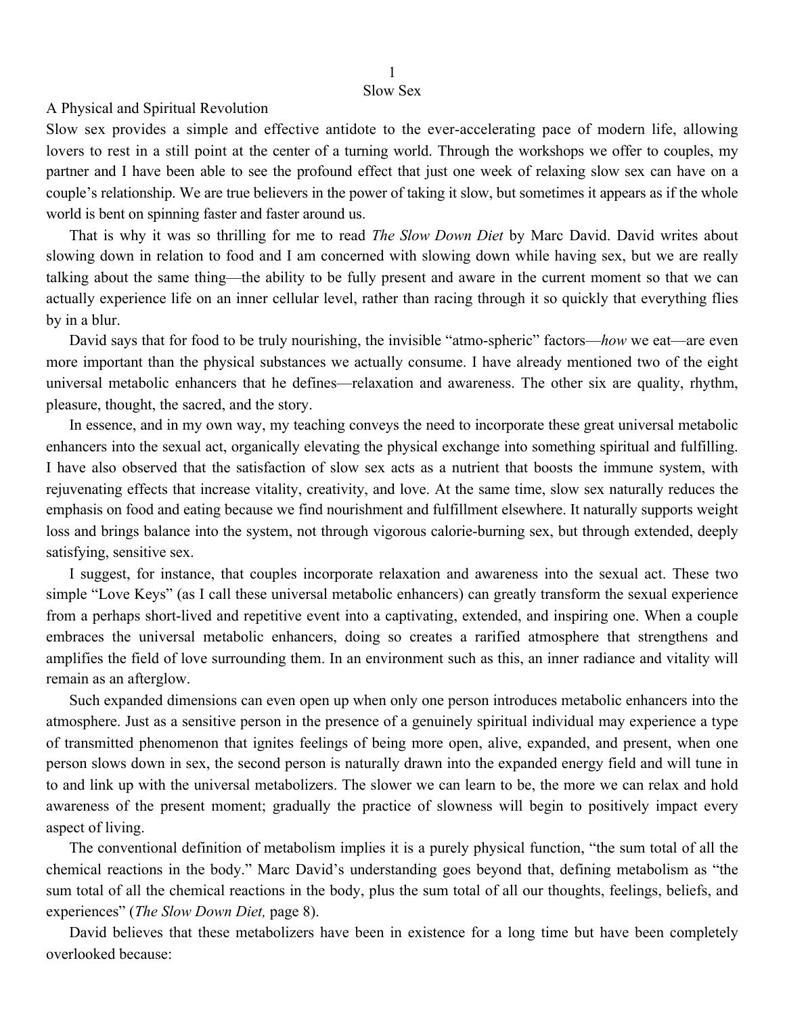## Slow Sex

A Physical and Spiritual Revolution

Slow sex provides a simple and effective antidote to the ever-accelerating pace of modern life, allowing lovers to rest in a still point at the center of a turning world. Through the workshops we offer to couples, my partner and I have been able to see the profound effect that just one week of relaxing slow sex can have on a couple's relationship. We are true believers in the power of taking it slow, but sometimes it appears as if the whole world is bent on spinning faster and faster around us.

That is why it was so thrilling for me to read *The Slow Down Diet* by Marc David. David writes about slowing down in relation to food and I am concerned with slowing down while having sex, but we are really talking about the same thing—the ability to be fully present and aware in the current moment so that we can actually experience life on an inner cellular level, rather than racing through it so quickly that everything flies by in a blur.

David says that for food to be truly nourishing, the invisible "atmo-spheric" factors—*how* we eat—are even more important than the physical substances we actually consume. I have already mentioned two of the eight universal metabolic enhancers that he defines—relaxation and awareness. The other six are quality, rhythm, pleasure, thought, the sacred, and the story.

In essence, and in my own way, my teaching conveys the need to incorporate these great universal metabolic enhancers into the sexual act, organically elevating the physical exchange into something spiritual and fulfilling. I have also observed that the satisfaction of slow sex acts as a nutrient that boosts the immune system, with rejuvenating effects that increase vitality, creativity, and love. At the same time, slow sex naturally reduces the emphasis on food and eating because we find nourishment and fulfillment elsewhere. It naturally supports weight loss and brings balance into the system, not through vigorous calorie-burning sex, but through extended, deeply satisfying, sensitive sex.

I suggest, for instance, that couples incorporate relaxation and awareness into the sexual act. These two simple "Love Keys" (as I call these universal metabolic enhancers) can greatly transform the sexual experience from a perhaps short-lived and repetitive event into a captivating, extended, and inspiring one. When a couple embraces the universal metabolic enhancers, doing so creates a rarified atmosphere that strengthens and amplifies the field of love surrounding them. In an environment such as this, an inner radiance and vitality will remain as an afterglow.

Such expanded dimensions can even open up when only one person introduces metabolic enhancers into the atmosphere. Just as a sensitive person in the presence of a genuinely spiritual individual may experience a type of transmitted phenomenon that ignites feelings of being more open, alive, expanded, and present, when one person slows down in sex, the second person is naturally drawn into the expanded energy field and will tune in to and link up with the universal metabolizers. The slower we can learn to be, the more we can relax and hold awareness of the present moment; gradually the practice of slowness will begin to positively impact every aspect of living.

The conventional definition of metabolism implies it is a purely physical function, "the sum total of all the chemical reactions in the body." Marc David's understanding goes beyond that, defining metabolism as "the sum total of all the chemical reactions in the body, plus the sum total of all our thoughts, feelings, beliefs, and experiences" (*The Slow Down Diet,* page 8).

David believes that these metabolizers have been in existence for a long time but have been completely overlooked because: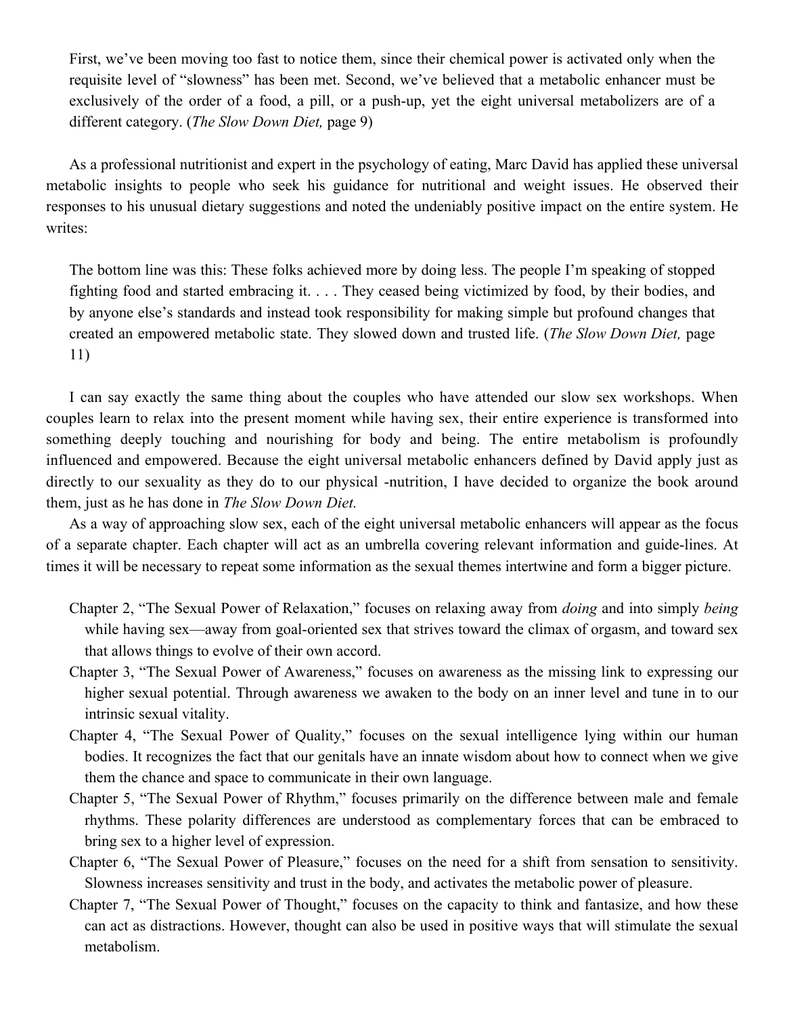First, we've been moving too fast to notice them, since their chemical power is activated only when the requisite level of "slowness" has been met. Second, we've believed that a metabolic enhancer must be exclusively of the order of a food, a pill, or a push-up, yet the eight universal metabolizers are of a different category. (*The Slow Down Diet,* page 9)

As a professional nutritionist and expert in the psychology of eating, Marc David has applied these universal metabolic insights to people who seek his guidance for nutritional and weight issues. He observed their responses to his unusual dietary suggestions and noted the undeniably positive impact on the entire system. He writes:

The bottom line was this: These folks achieved more by doing less. The people I'm speaking of stopped fighting food and started embracing it. . . . They ceased being victimized by food, by their bodies, and by anyone else's standards and instead took responsibility for making simple but profound changes that created an empowered metabolic state. They slowed down and trusted life. (*The Slow Down Diet,* page 11)

I can say exactly the same thing about the couples who have attended our slow sex workshops. When couples learn to relax into the present moment while having sex, their entire experience is transformed into something deeply touching and nourishing for body and being. The entire metabolism is profoundly influenced and empowered. Because the eight universal metabolic enhancers defined by David apply just as directly to our sexuality as they do to our physical -nutrition, I have decided to organize the book around them, just as he has done in *The Slow Down Diet.*

As a way of approaching slow sex, each of the eight universal metabolic enhancers will appear as the focus of a separate chapter. Each chapter will act as an umbrella covering relevant information and guide-lines. At times it will be necessary to repeat some information as the sexual themes intertwine and form a bigger picture.

- Chapter 2, "The Sexual Power of Relaxation," focuses on relaxing away from *doing* and into simply *being* while having sex—away from goal-oriented sex that strives toward the climax of orgasm, and toward sex that allows things to evolve of their own accord.
- Chapter 3, "The Sexual Power of Awareness," focuses on awareness as the missing link to expressing our higher sexual potential. Through awareness we awaken to the body on an inner level and tune in to our intrinsic sexual vitality.
- Chapter 4, "The Sexual Power of Quality," focuses on the sexual intelligence lying within our human bodies. It recognizes the fact that our genitals have an innate wisdom about how to connect when we give them the chance and space to communicate in their own language.
- Chapter 5, "The Sexual Power of Rhythm," focuses primarily on the difference between male and female rhythms. These polarity differences are understood as complementary forces that can be embraced to bring sex to a higher level of expression.
- Chapter 6, "The Sexual Power of Pleasure," focuses on the need for a shift from sensation to sensitivity. Slowness increases sensitivity and trust in the body, and activates the metabolic power of pleasure.
- Chapter 7, "The Sexual Power of Thought," focuses on the capacity to think and fantasize, and how these can act as distractions. However, thought can also be used in positive ways that will stimulate the sexual metabolism.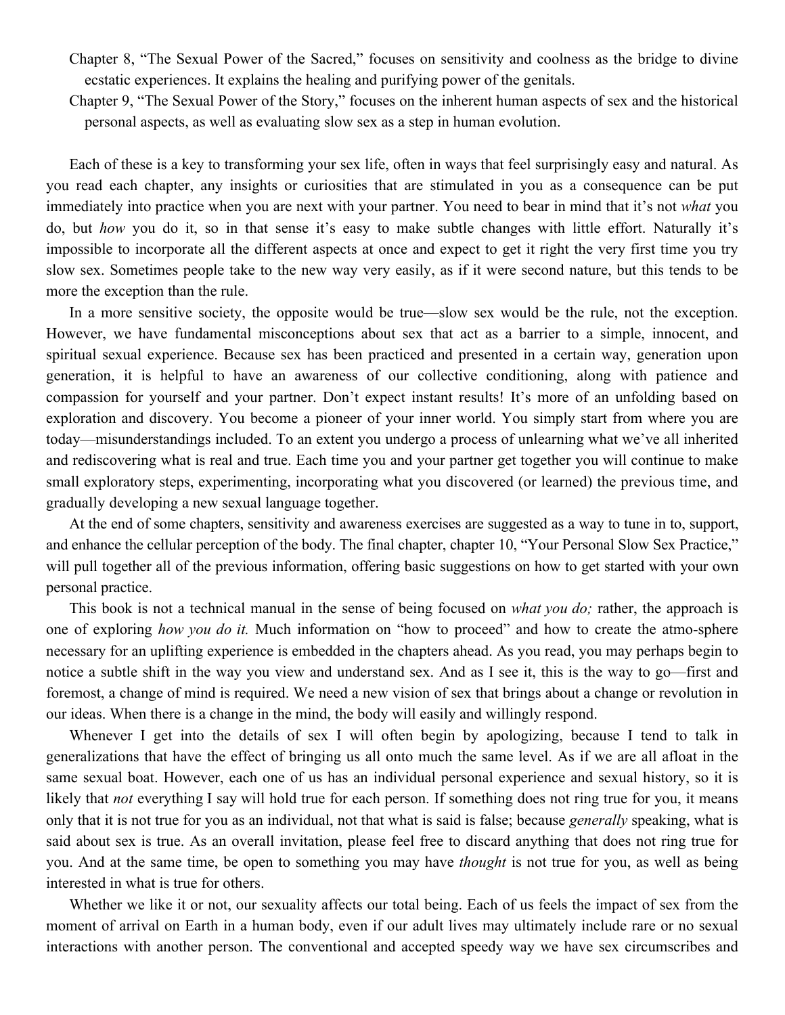Chapter 8, "The Sexual Power of the Sacred," focuses on sensitivity and coolness as the bridge to divine ecstatic experiences. It explains the healing and purifying power of the genitals.

Chapter 9, "The Sexual Power of the Story," focuses on the inherent human aspects of sex and the historical personal aspects, as well as evaluating slow sex as a step in human evolution.

Each of these is a key to transforming your sex life, often in ways that feel surprisingly easy and natural. As you read each chapter, any insights or curiosities that are stimulated in you as a consequence can be put immediately into practice when you are next with your partner. You need to bear in mind that it's not *what* you do, but *how* you do it, so in that sense it's easy to make subtle changes with little effort. Naturally it's impossible to incorporate all the different aspects at once and expect to get it right the very first time you try slow sex. Sometimes people take to the new way very easily, as if it were second nature, but this tends to be more the exception than the rule.

In a more sensitive society, the opposite would be true—slow sex would be the rule, not the exception. However, we have fundamental misconceptions about sex that act as a barrier to a simple, innocent, and spiritual sexual experience. Because sex has been practiced and presented in a certain way, generation upon generation, it is helpful to have an awareness of our collective conditioning, along with patience and compassion for yourself and your partner. Don't expect instant results! It's more of an unfolding based on exploration and discovery. You become a pioneer of your inner world. You simply start from where you are today—misunderstandings included. To an extent you undergo a process of unlearning what we've all inherited and rediscovering what is real and true. Each time you and your partner get together you will continue to make small exploratory steps, experimenting, incorporating what you discovered (or learned) the previous time, and gradually developing a new sexual language together.

At the end of some chapters, sensitivity and awareness exercises are suggested as a way to tune in to, support, and enhance the cellular perception of the body. The final chapter, chapter 10, "Your Personal Slow Sex Practice," will pull together all of the previous information, offering basic suggestions on how to get started with your own personal practice.

This book is not a technical manual in the sense of being focused on *what you do;* rather, the approach is one of exploring *how you do it.* Much information on "how to proceed" and how to create the atmo-sphere necessary for an uplifting experience is embedded in the chapters ahead. As you read, you may perhaps begin to notice a subtle shift in the way you view and understand sex. And as I see it, this is the way to go—first and foremost, a change of mind is required. We need a new vision of sex that brings about a change or revolution in our ideas. When there is a change in the mind, the body will easily and willingly respond.

Whenever I get into the details of sex I will often begin by apologizing, because I tend to talk in generalizations that have the effect of bringing us all onto much the same level. As if we are all afloat in the same sexual boat. However, each one of us has an individual personal experience and sexual history, so it is likely that *not* everything I say will hold true for each person. If something does not ring true for you, it means only that it is not true for you as an individual, not that what is said is false; because *generally* speaking, what is said about sex is true. As an overall invitation, please feel free to discard anything that does not ring true for you. And at the same time, be open to something you may have *thought* is not true for you, as well as being interested in what is true for others.

Whether we like it or not, our sexuality affects our total being. Each of us feels the impact of sex from the moment of arrival on Earth in a human body, even if our adult lives may ultimately include rare or no sexual interactions with another person. The conventional and accepted speedy way we have sex circumscribes and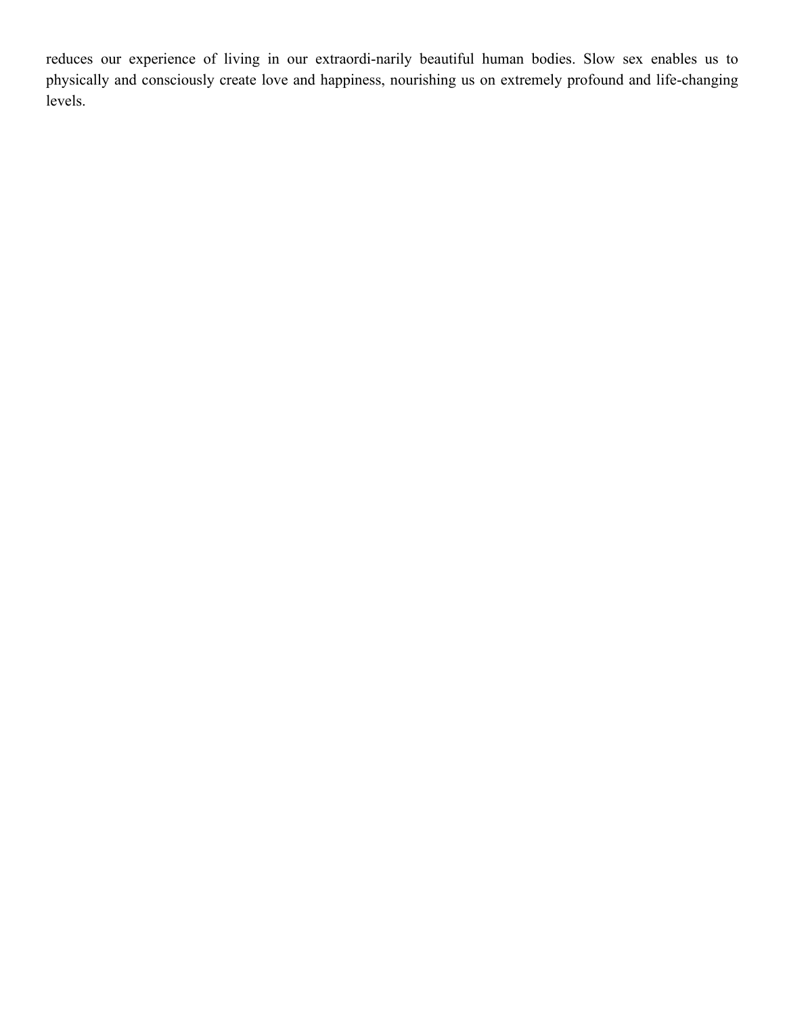reduces our experience of living in our extraordi-narily beautiful human bodies. Slow sex enables us to physically and consciously create love and happiness, nourishing us on extremely profound and life-changing levels.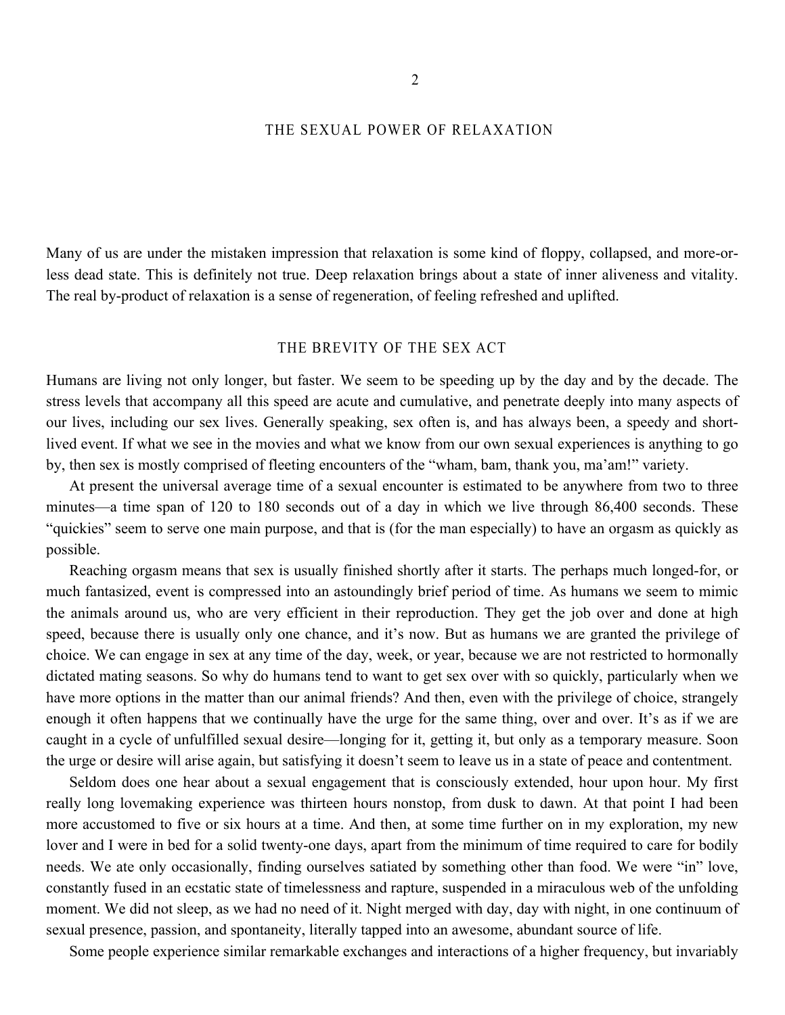#### THE SEXUAL POWER OF RELAXATION

Many of us are under the mistaken impression that relaxation is some kind of floppy, collapsed, and more-orless dead state. This is definitely not true. Deep relaxation brings about a state of inner aliveness and vitality. The real by-product of relaxation is a sense of regeneration, of feeling refreshed and uplifted.

#### THE BREVITY OF THE SEX ACT

Humans are living not only longer, but faster. We seem to be speeding up by the day and by the decade. The stress levels that accompany all this speed are acute and cumulative, and penetrate deeply into many aspects of our lives, including our sex lives. Generally speaking, sex often is, and has always been, a speedy and shortlived event. If what we see in the movies and what we know from our own sexual experiences is anything to go by, then sex is mostly comprised of fleeting encounters of the "wham, bam, thank you, ma'am!" variety.

At present the universal average time of a sexual encounter is estimated to be anywhere from two to three minutes—a time span of 120 to 180 seconds out of a day in which we live through 86,400 seconds. These "quickies" seem to serve one main purpose, and that is (for the man especially) to have an orgasm as quickly as possible.

Reaching orgasm means that sex is usually finished shortly after it starts. The perhaps much longed-for, or much fantasized, event is compressed into an astoundingly brief period of time. As humans we seem to mimic the animals around us, who are very efficient in their reproduction. They get the job over and done at high speed, because there is usually only one chance, and it's now. But as humans we are granted the privilege of choice. We can engage in sex at any time of the day, week, or year, because we are not restricted to hormonally dictated mating seasons. So why do humans tend to want to get sex over with so quickly, particularly when we have more options in the matter than our animal friends? And then, even with the privilege of choice, strangely enough it often happens that we continually have the urge for the same thing, over and over. It's as if we are caught in a cycle of unfulfilled sexual desire—longing for it, getting it, but only as a temporary measure. Soon the urge or desire will arise again, but satisfying it doesn't seem to leave us in a state of peace and contentment.

Seldom does one hear about a sexual engagement that is consciously extended, hour upon hour. My first really long lovemaking experience was thirteen hours nonstop, from dusk to dawn. At that point I had been more accustomed to five or six hours at a time. And then, at some time further on in my exploration, my new lover and I were in bed for a solid twenty-one days, apart from the minimum of time required to care for bodily needs. We ate only occasionally, finding ourselves satiated by something other than food. We were "in" love, constantly fused in an ecstatic state of timelessness and rapture, suspended in a miraculous web of the unfolding moment. We did not sleep, as we had no need of it. Night merged with day, day with night, in one continuum of sexual presence, passion, and spontaneity, literally tapped into an awesome, abundant source of life.

Some people experience similar remarkable exchanges and interactions of a higher frequency, but invariably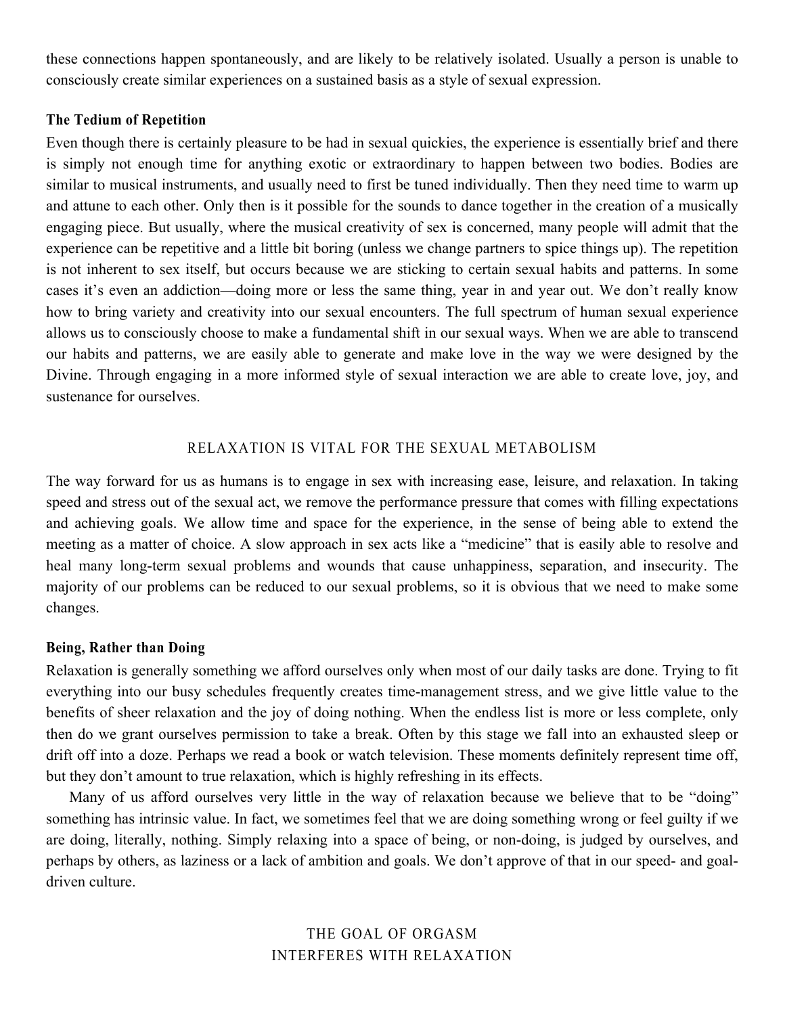these connections happen spontaneously, and are likely to be relatively isolated. Usually a person is unable to consciously create similar experiences on a sustained basis as a style of sexual expression.

### **The Tedium of Repetition**

Even though there is certainly pleasure to be had in sexual quickies, the experience is essentially brief and there is simply not enough time for anything exotic or extraordinary to happen between two bodies. Bodies are similar to musical instruments, and usually need to first be tuned individually. Then they need time to warm up and attune to each other. Only then is it possible for the sounds to dance together in the creation of a musically engaging piece. But usually, where the musical creativity of sex is concerned, many people will admit that the experience can be repetitive and a little bit boring (unless we change partners to spice things up). The repetition is not inherent to sex itself, but occurs because we are sticking to certain sexual habits and patterns. In some cases it's even an addiction—doing more or less the same thing, year in and year out. We don't really know how to bring variety and creativity into our sexual encounters. The full spectrum of human sexual experience allows us to consciously choose to make a fundamental shift in our sexual ways. When we are able to transcend our habits and patterns, we are easily able to generate and make love in the way we were designed by the Divine. Through engaging in a more informed style of sexual interaction we are able to create love, joy, and sustenance for ourselves.

## RELAXATION IS VITAL FOR THE SEXUAL METABOLISM

The way forward for us as humans is to engage in sex with increasing ease, leisure, and relaxation. In taking speed and stress out of the sexual act, we remove the performance pressure that comes with filling expectations and achieving goals. We allow time and space for the experience, in the sense of being able to extend the meeting as a matter of choice. A slow approach in sex acts like a "medicine" that is easily able to resolve and heal many long-term sexual problems and wounds that cause unhappiness, separation, and insecurity. The majority of our problems can be reduced to our sexual problems, so it is obvious that we need to make some changes.

### **Being, Rather than Doing**

Relaxation is generally something we afford ourselves only when most of our daily tasks are done. Trying to fit everything into our busy schedules frequently creates time-management stress, and we give little value to the benefits of sheer relaxation and the joy of doing nothing. When the endless list is more or less complete, only then do we grant ourselves permission to take a break. Often by this stage we fall into an exhausted sleep or drift off into a doze. Perhaps we read a book or watch television. These moments definitely represent time off, but they don't amount to true relaxation, which is highly refreshing in its effects.

Many of us afford ourselves very little in the way of relaxation because we believe that to be "doing" something has intrinsic value. In fact, we sometimes feel that we are doing something wrong or feel guilty if we are doing, literally, nothing. Simply relaxing into a space of being, or non-doing, is judged by ourselves, and perhaps by others, as laziness or a lack of ambition and goals. We don't approve of that in our speed- and goaldriven culture.

# THE GOAL OF ORGASM INTERFERES WITH RELAXATION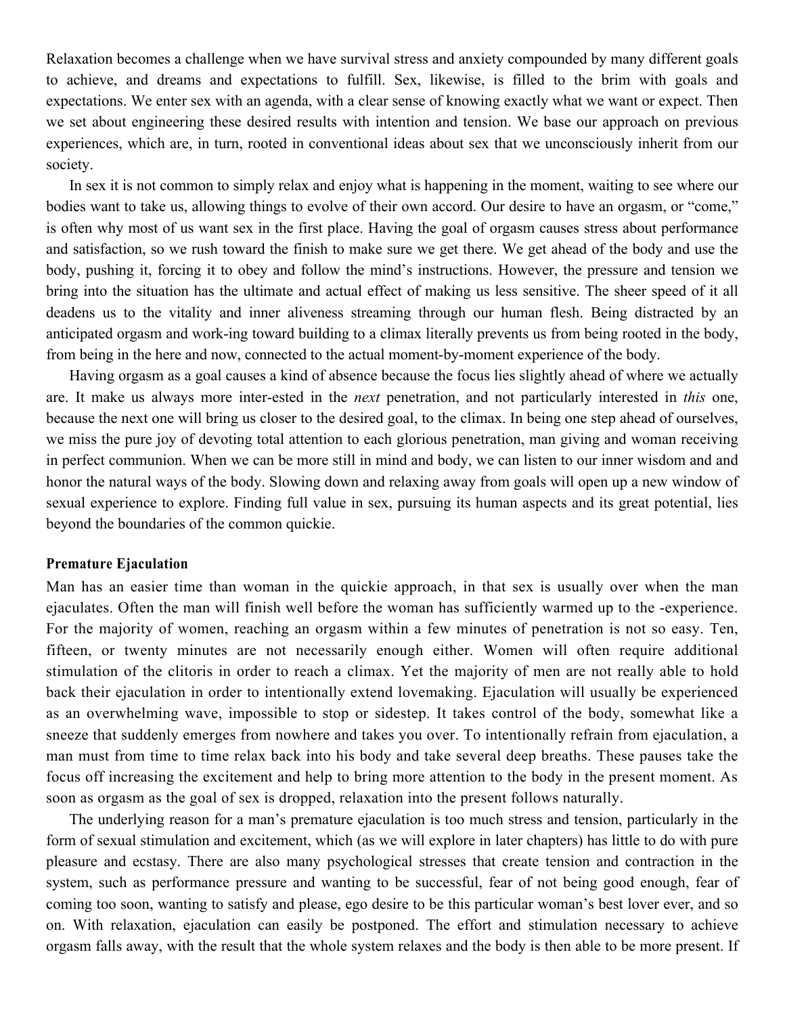Relaxation becomes a challenge when we have survival stress and anxiety compounded by many different goals to achieve, and dreams and expectations to fulfill. Sex, likewise, is filled to the brim with goals and expectations. We enter sex with an agenda, with a clear sense of knowing exactly what we want or expect. Then we set about engineering these desired results with intention and tension. We base our approach on previous experiences, which are, in turn, rooted in conventional ideas about sex that we unconsciously inherit from our society.

In sex it is not common to simply relax and enjoy what is happening in the moment, waiting to see where our bodies want to take us, allowing things to evolve of their own accord. Our desire to have an orgasm, or "come," is often why most of us want sex in the first place. Having the goal of orgasm causes stress about performance and satisfaction, so we rush toward the finish to make sure we get there. We get ahead of the body and use the body, pushing it, forcing it to obey and follow the mind's instructions. However, the pressure and tension we bring into the situation has the ultimate and actual effect of making us less sensitive. The sheer speed of it all deadens us to the vitality and inner aliveness streaming through our human flesh. Being distracted by an anticipated orgasm and work-ing toward building to a climax literally prevents us from being rooted in the body, from being in the here and now, connected to the actual moment-by-moment experience of the body.

Having orgasm as a goal causes a kind of absence because the focus lies slightly ahead of where we actually are. It make us always more inter-ested in the *next* penetration, and not particularly interested in *this* one, because the next one will bring us closer to the desired goal, to the climax. In being one step ahead of ourselves, we miss the pure joy of devoting total attention to each glorious penetration, man giving and woman receiving in perfect communion. When we can be more still in mind and body, we can listen to our inner wisdom and and honor the natural ways of the body. Slowing down and relaxing away from goals will open up a new window of sexual experience to explore. Finding full value in sex, pursuing its human aspects and its great potential, lies beyond the boundaries of the common quickie.

### **Premature Ejaculation**

Man has an easier time than woman in the quickie approach, in that sex is usually over when the man ejaculates. Often the man will finish well before the woman has sufficiently warmed up to the -experience. For the majority of women, reaching an orgasm within a few minutes of penetration is not so easy. Ten, fifteen, or twenty minutes are not necessarily enough either. Women will often require additional stimulation of the clitoris in order to reach a climax. Yet the majority of men are not really able to hold back their ejaculation in order to intentionally extend lovemaking. Ejaculation will usually be experienced as an overwhelming wave, impossible to stop or sidestep. It takes control of the body, somewhat like a sneeze that suddenly emerges from nowhere and takes you over. To intentionally refrain from ejaculation, a man must from time to time relax back into his body and take several deep breaths. These pauses take the focus off increasing the excitement and help to bring more attention to the body in the present moment. As soon as orgasm as the goal of sex is dropped, relaxation into the present follows naturally.

The underlying reason for a man's premature ejaculation is too much stress and tension, particularly in the form of sexual stimulation and excitement, which (as we will explore in later chapters) has little to do with pure pleasure and ecstasy. There are also many psychological stresses that create tension and contraction in the system, such as performance pressure and wanting to be successful, fear of not being good enough, fear of coming too soon, wanting to satisfy and please, ego desire to be this particular woman's best lover ever, and so on. With relaxation, ejaculation can easily be postponed. The effort and stimulation necessary to achieve orgasm falls away, with the result that the whole system relaxes and the body is then able to be more present. If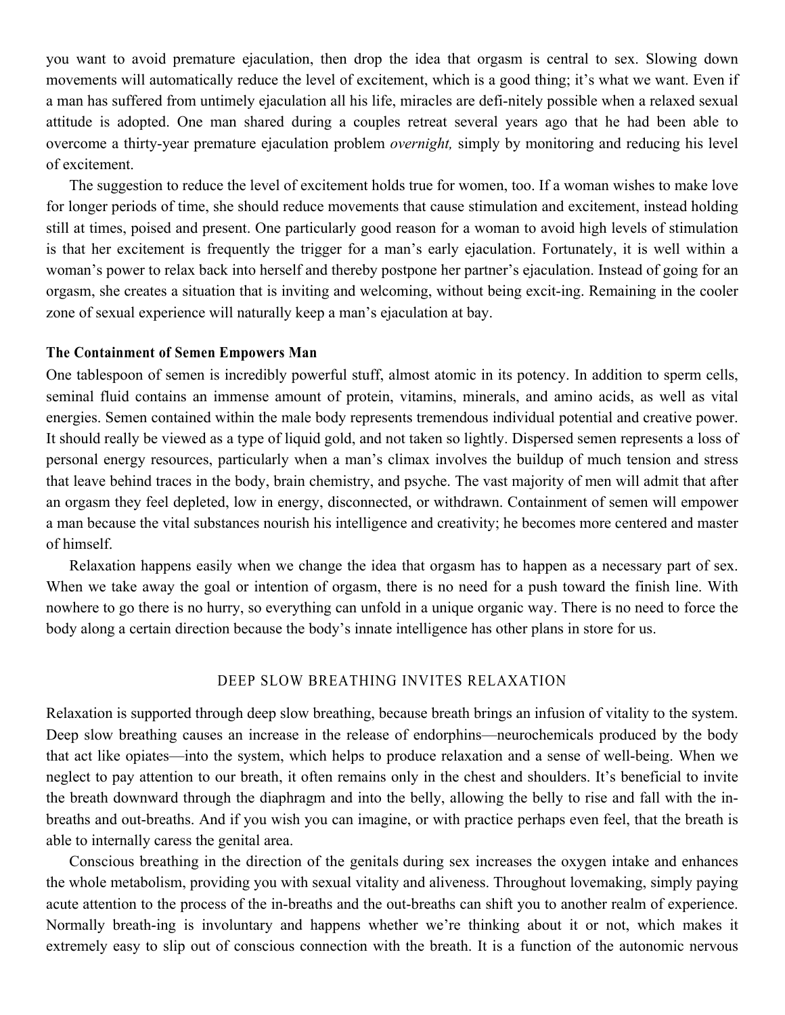you want to avoid premature ejaculation, then drop the idea that orgasm is central to sex. Slowing down movements will automatically reduce the level of excitement, which is a good thing; it's what we want. Even if a man has suffered from untimely ejaculation all his life, miracles are defi-nitely possible when a relaxed sexual attitude is adopted. One man shared during a couples retreat several years ago that he had been able to overcome a thirty-year premature ejaculation problem *overnight,* simply by monitoring and reducing his level of excitement.

The suggestion to reduce the level of excitement holds true for women, too. If a woman wishes to make love for longer periods of time, she should reduce movements that cause stimulation and excitement, instead holding still at times, poised and present. One particularly good reason for a woman to avoid high levels of stimulation is that her excitement is frequently the trigger for a man's early ejaculation. Fortunately, it is well within a woman's power to relax back into herself and thereby postpone her partner's ejaculation. Instead of going for an orgasm, she creates a situation that is inviting and welcoming, without being excit-ing. Remaining in the cooler zone of sexual experience will naturally keep a man's ejaculation at bay.

#### **The Containment of Semen Empowers Man**

One tablespoon of semen is incredibly powerful stuff, almost atomic in its potency. In addition to sperm cells, seminal fluid contains an immense amount of protein, vitamins, minerals, and amino acids, as well as vital energies. Semen contained within the male body represents tremendous individual potential and creative power. It should really be viewed as a type of liquid gold, and not taken so lightly. Dispersed semen represents a loss of personal energy resources, particularly when a man's climax involves the buildup of much tension and stress that leave behind traces in the body, brain chemistry, and psyche. The vast majority of men will admit that after an orgasm they feel depleted, low in energy, disconnected, or withdrawn. Containment of semen will empower a man because the vital substances nourish his intelligence and creativity; he becomes more centered and master of himself.

Relaxation happens easily when we change the idea that orgasm has to happen as a necessary part of sex. When we take away the goal or intention of orgasm, there is no need for a push toward the finish line. With nowhere to go there is no hurry, so everything can unfold in a unique organic way. There is no need to force the body along a certain direction because the body's innate intelligence has other plans in store for us.

#### DEEP SLOW BREATHING INVITES RELAXATION

Relaxation is supported through deep slow breathing, because breath brings an infusion of vitality to the system. Deep slow breathing causes an increase in the release of endorphins—neurochemicals produced by the body that act like opiates—into the system, which helps to produce relaxation and a sense of well-being. When we neglect to pay attention to our breath, it often remains only in the chest and shoulders. It's beneficial to invite the breath downward through the diaphragm and into the belly, allowing the belly to rise and fall with the inbreaths and out-breaths. And if you wish you can imagine, or with practice perhaps even feel, that the breath is able to internally caress the genital area.

Conscious breathing in the direction of the genitals during sex increases the oxygen intake and enhances the whole metabolism, providing you with sexual vitality and aliveness. Throughout lovemaking, simply paying acute attention to the process of the in-breaths and the out-breaths can shift you to another realm of experience. Normally breath-ing is involuntary and happens whether we're thinking about it or not, which makes it extremely easy to slip out of conscious connection with the breath. It is a function of the autonomic nervous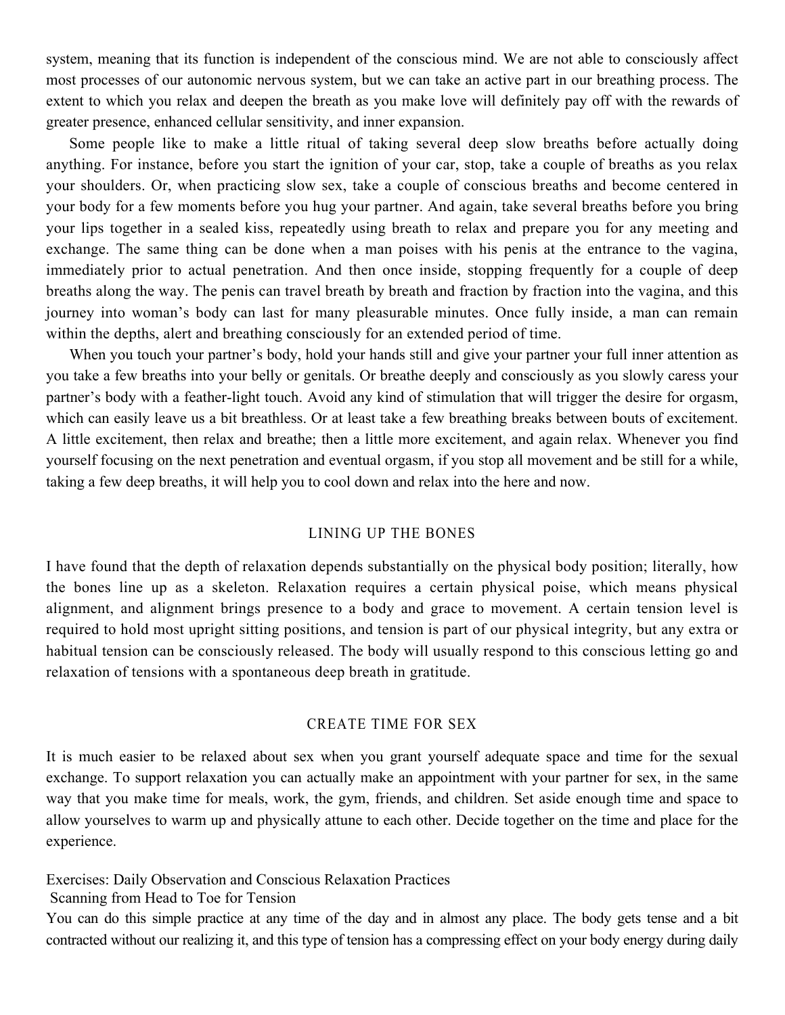system, meaning that its function is independent of the conscious mind. We are not able to consciously affect most processes of our autonomic nervous system, but we can take an active part in our breathing process. The extent to which you relax and deepen the breath as you make love will definitely pay off with the rewards of greater presence, enhanced cellular sensitivity, and inner expansion.

Some people like to make a little ritual of taking several deep slow breaths before actually doing anything. For instance, before you start the ignition of your car, stop, take a couple of breaths as you relax your shoulders. Or, when practicing slow sex, take a couple of conscious breaths and become centered in your body for a few moments before you hug your partner. And again, take several breaths before you bring your lips together in a sealed kiss, repeatedly using breath to relax and prepare you for any meeting and exchange. The same thing can be done when a man poises with his penis at the entrance to the vagina, immediately prior to actual penetration. And then once inside, stopping frequently for a couple of deep breaths along the way. The penis can travel breath by breath and fraction by fraction into the vagina, and this journey into woman's body can last for many pleasurable minutes. Once fully inside, a man can remain within the depths, alert and breathing consciously for an extended period of time.

When you touch your partner's body, hold your hands still and give your partner your full inner attention as you take a few breaths into your belly or genitals. Or breathe deeply and consciously as you slowly caress your partner's body with a feather-light touch. Avoid any kind of stimulation that will trigger the desire for orgasm, which can easily leave us a bit breathless. Or at least take a few breathing breaks between bouts of excitement. A little excitement, then relax and breathe; then a little more excitement, and again relax. Whenever you find yourself focusing on the next penetration and eventual orgasm, if you stop all movement and be still for a while, taking a few deep breaths, it will help you to cool down and relax into the here and now.

#### LINING UP THE BONES

I have found that the depth of relaxation depends substantially on the physical body position; literally, how the bones line up as a skeleton. Relaxation requires a certain physical poise, which means physical alignment, and alignment brings presence to a body and grace to movement. A certain tension level is required to hold most upright sitting positions, and tension is part of our physical integrity, but any extra or habitual tension can be consciously released. The body will usually respond to this conscious letting go and relaxation of tensions with a spontaneous deep breath in gratitude.

## CREATE TIME FOR SEX

It is much easier to be relaxed about sex when you grant yourself adequate space and time for the sexual exchange. To support relaxation you can actually make an appointment with your partner for sex, in the same way that you make time for meals, work, the gym, friends, and children. Set aside enough time and space to allow yourselves to warm up and physically attune to each other. Decide together on the time and place for the experience.

### Exercises: Daily Observation and Conscious Relaxation Practices

Scanning from Head to Toe for Tension

You can do this simple practice at any time of the day and in almost any place. The body gets tense and a bit contracted without our realizing it, and this type of tension has a compressing effect on your body energy during daily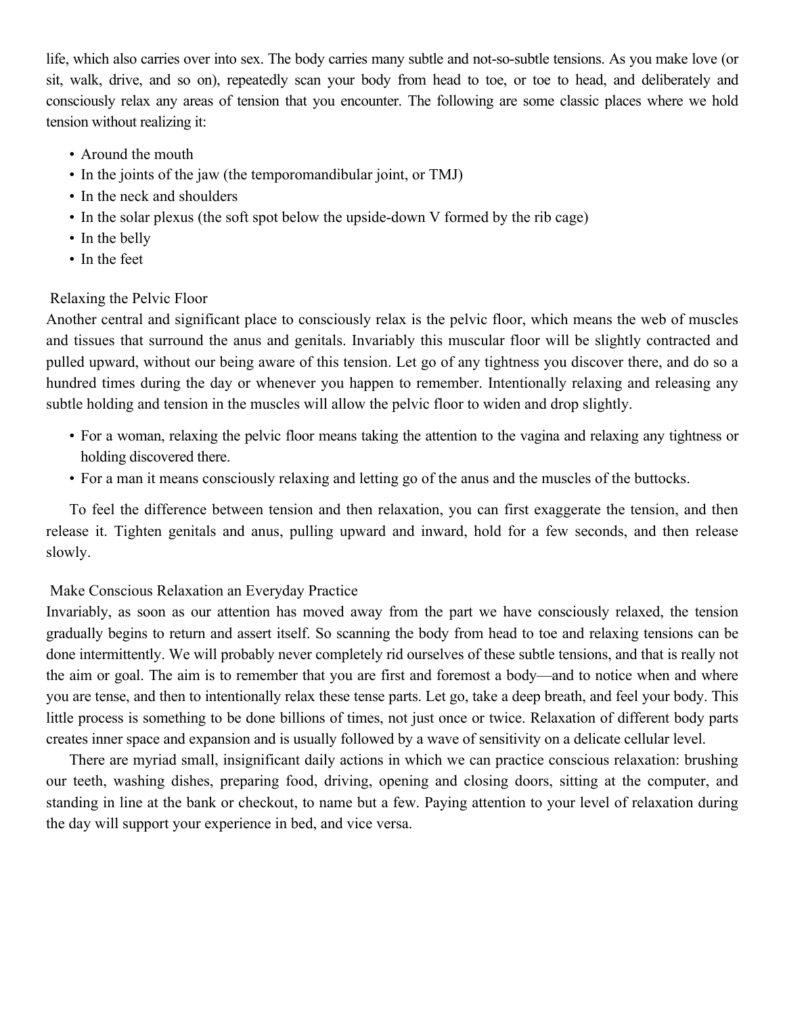life, which also carries over into sex. The body carries many subtle and not-so-subtle tensions. As you make love (or sit, walk, drive, and so on), repeatedly scan your body from head to toe, or toe to head, and deliberately and consciously relax any areas of tension that you encounter. The following are some classic places where we hold tension without realizing it:

- Around the mouth
- In the joints of the jaw (the temporomandibular joint, or TMJ)
- In the neck and shoulders
- In the solar plexus (the soft spot below the upside-down V formed by the rib cage)
- In the belly
- In the feet

## Relaxing the Pelvic Floor

Another central and significant place to consciously relax is the pelvic floor, which means the web of muscles and tissues that surround the anus and genitals. Invariably this muscular floor will be slightly contracted and pulled upward, without our being aware of this tension. Let go of any tightness you discover there, and do so a hundred times during the day or whenever you happen to remember. Intentionally relaxing and releasing any subtle holding and tension in the muscles will allow the pelvic floor to widen and drop slightly.

- For a woman, relaxing the pelvic floor means taking the attention to the vagina and relaxing any tightness or holding discovered there.
- For a man it means consciously relaxing and letting go of the anus and the muscles of the buttocks.

To feel the difference between tension and then relaxation, you can first exaggerate the tension, and then release it. Tighten genitals and anus, pulling upward and inward, hold for a few seconds, and then release slowly.

## Make Conscious Relaxation an Everyday Practice

Invariably, as soon as our attention has moved away from the part we have consciously relaxed, the tension gradually begins to return and assert itself. So scanning the body from head to toe and relaxing tensions can be done intermittently. We will probably never completely rid ourselves of these subtle tensions, and that is really not the aim or goal. The aim is to remember that you are first and foremost a body—and to notice when and where you are tense, and then to intentionally relax these tense parts. Let go, take a deep breath, and feel your body. This little process is something to be done billions of times, not just once or twice. Relaxation of different body parts creates inner space and expansion and is usually followed by a wave of sensitivity on a delicate cellular level.

There are myriad small, insignificant daily actions in which we can practice conscious relaxation: brushing our teeth, washing dishes, preparing food, driving, opening and closing doors, sitting at the computer, and standing in line at the bank or checkout, to name but a few. Paying attention to your level of relaxation during the day will support your experience in bed, and vice versa.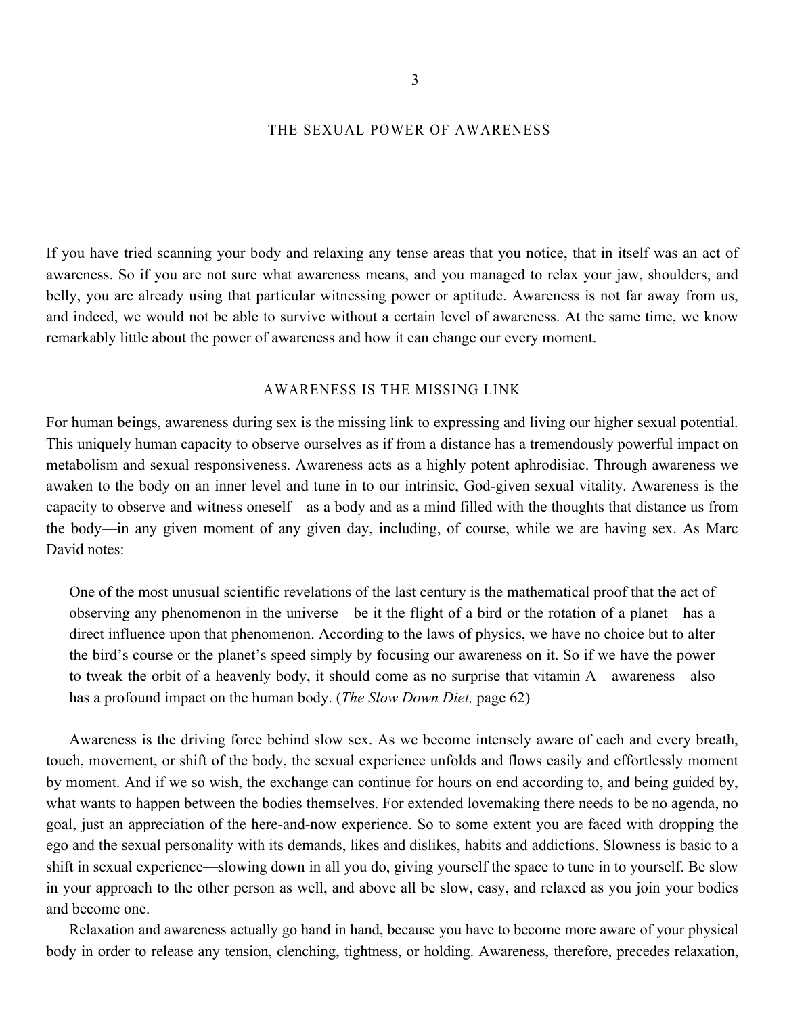### THE SEXUAL POWER OF AWARENESS

If you have tried scanning your body and relaxing any tense areas that you notice, that in itself was an act of awareness. So if you are not sure what awareness means, and you managed to relax your jaw, shoulders, and belly, you are already using that particular witnessing power or aptitude. Awareness is not far away from us, and indeed, we would not be able to survive without a certain level of awareness. At the same time, we know remarkably little about the power of awareness and how it can change our every moment.

#### AWARENESS IS THE MISSING LINK

For human beings, awareness during sex is the missing link to expressing and living our higher sexual potential. This uniquely human capacity to observe ourselves as if from a distance has a tremendously powerful impact on metabolism and sexual responsiveness. Awareness acts as a highly potent aphrodisiac. Through awareness we awaken to the body on an inner level and tune in to our intrinsic, God-given sexual vitality. Awareness is the capacity to observe and witness oneself—as a body and as a mind filled with the thoughts that distance us from the body—in any given moment of any given day, including, of course, while we are having sex. As Marc David notes:

One of the most unusual scientific revelations of the last century is the mathematical proof that the act of observing any phenomenon in the universe—be it the flight of a bird or the rotation of a planet—has a direct influence upon that phenomenon. According to the laws of physics, we have no choice but to alter the bird's course or the planet's speed simply by focusing our awareness on it. So if we have the power to tweak the orbit of a heavenly body, it should come as no surprise that vitamin A—awareness—also has a profound impact on the human body. (*The Slow Down Diet,* page 62)

Awareness is the driving force behind slow sex. As we become intensely aware of each and every breath, touch, movement, or shift of the body, the sexual experience unfolds and flows easily and effortlessly moment by moment. And if we so wish, the exchange can continue for hours on end according to, and being guided by, what wants to happen between the bodies themselves. For extended lovemaking there needs to be no agenda, no goal, just an appreciation of the here-and-now experience. So to some extent you are faced with dropping the ego and the sexual personality with its demands, likes and dislikes, habits and addictions. Slowness is basic to a shift in sexual experience—slowing down in all you do, giving yourself the space to tune in to yourself. Be slow in your approach to the other person as well, and above all be slow, easy, and relaxed as you join your bodies and become one.

Relaxation and awareness actually go hand in hand, because you have to become more aware of your physical body in order to release any tension, clenching, tightness, or holding. Awareness, therefore, precedes relaxation,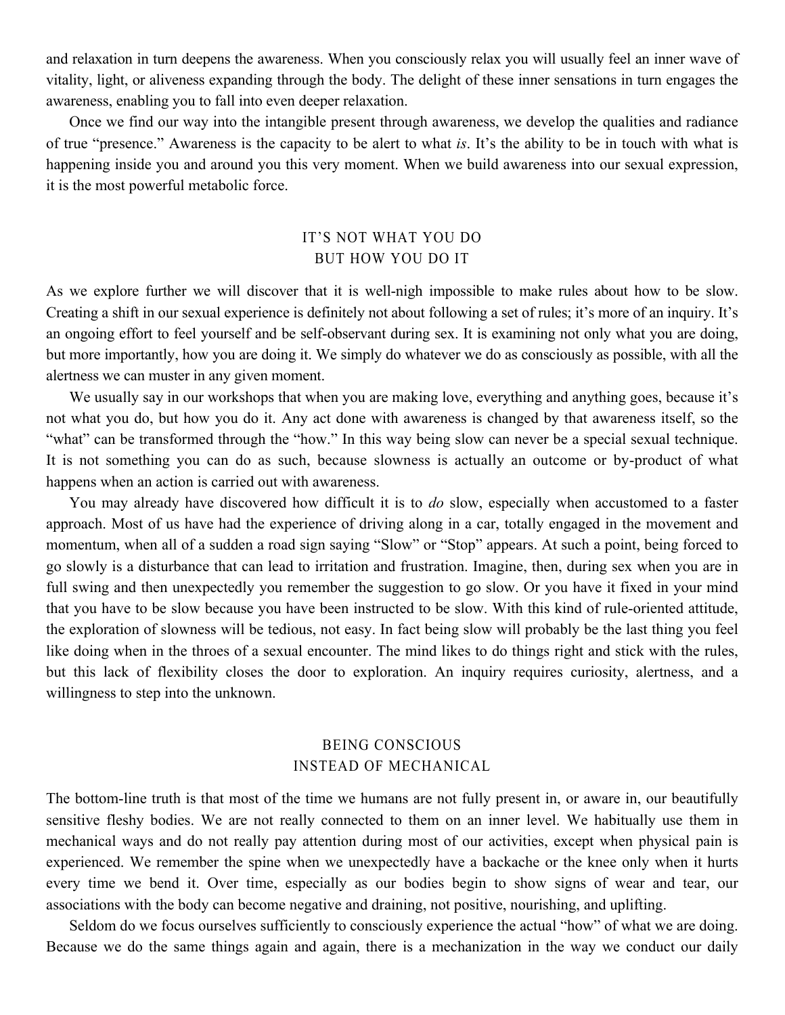and relaxation in turn deepens the awareness. When you consciously relax you will usually feel an inner wave of vitality, light, or aliveness expanding through the body. The delight of these inner sensations in turn engages the awareness, enabling you to fall into even deeper relaxation.

Once we find our way into the intangible present through awareness, we develop the qualities and radiance of true "presence." Awareness is the capacity to be alert to what *is*. It's the ability to be in touch with what is happening inside you and around you this very moment. When we build awareness into our sexual expression, it is the most powerful metabolic force.

## IT'S NOT WHAT YOU DO BUT HOW YOU DO IT

As we explore further we will discover that it is well-nigh impossible to make rules about how to be slow. Creating a shift in our sexual experience is definitely not about following a set of rules; it's more of an inquiry. It's an ongoing effort to feel yourself and be self-observant during sex. It is examining not only what you are doing, but more importantly, how you are doing it. We simply do whatever we do as consciously as possible, with all the alertness we can muster in any given moment.

We usually say in our workshops that when you are making love, everything and anything goes, because it's not what you do, but how you do it. Any act done with awareness is changed by that awareness itself, so the "what" can be transformed through the "how." In this way being slow can never be a special sexual technique. It is not something you can do as such, because slowness is actually an outcome or by-product of what happens when an action is carried out with awareness.

You may already have discovered how difficult it is to *do* slow, especially when accustomed to a faster approach. Most of us have had the experience of driving along in a car, totally engaged in the movement and momentum, when all of a sudden a road sign saying "Slow" or "Stop" appears. At such a point, being forced to go slowly is a disturbance that can lead to irritation and frustration. Imagine, then, during sex when you are in full swing and then unexpectedly you remember the suggestion to go slow. Or you have it fixed in your mind that you have to be slow because you have been instructed to be slow. With this kind of rule-oriented attitude, the exploration of slowness will be tedious, not easy. In fact being slow will probably be the last thing you feel like doing when in the throes of a sexual encounter. The mind likes to do things right and stick with the rules, but this lack of flexibility closes the door to exploration. An inquiry requires curiosity, alertness, and a willingness to step into the unknown.

## BEING CONSCIOUS INSTEAD OF MECHANICAL

The bottom-line truth is that most of the time we humans are not fully present in, or aware in, our beautifully sensitive fleshy bodies. We are not really connected to them on an inner level. We habitually use them in mechanical ways and do not really pay attention during most of our activities, except when physical pain is experienced. We remember the spine when we unexpectedly have a backache or the knee only when it hurts every time we bend it. Over time, especially as our bodies begin to show signs of wear and tear, our associations with the body can become negative and draining, not positive, nourishing, and uplifting.

Seldom do we focus ourselves sufficiently to consciously experience the actual "how" of what we are doing. Because we do the same things again and again, there is a mechanization in the way we conduct our daily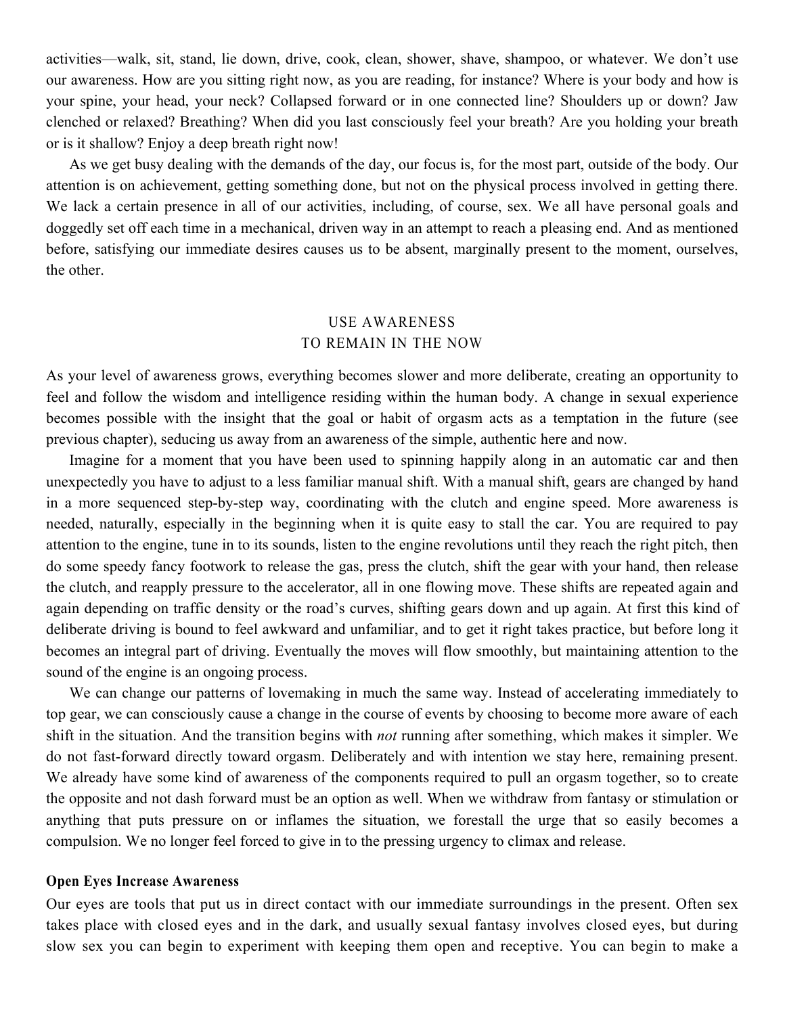activities—walk, sit, stand, lie down, drive, cook, clean, shower, shave, shampoo, or whatever. We don't use our awareness. How are you sitting right now, as you are reading, for instance? Where is your body and how is your spine, your head, your neck? Collapsed forward or in one connected line? Shoulders up or down? Jaw clenched or relaxed? Breathing? When did you last consciously feel your breath? Are you holding your breath or is it shallow? Enjoy a deep breath right now!

As we get busy dealing with the demands of the day, our focus is, for the most part, outside of the body. Our attention is on achievement, getting something done, but not on the physical process involved in getting there. We lack a certain presence in all of our activities, including, of course, sex. We all have personal goals and doggedly set off each time in a mechanical, driven way in an attempt to reach a pleasing end. And as mentioned before, satisfying our immediate desires causes us to be absent, marginally present to the moment, ourselves, the other.

## USE AWARENESS TO REMAIN IN THE NOW

As your level of awareness grows, everything becomes slower and more deliberate, creating an opportunity to feel and follow the wisdom and intelligence residing within the human body. A change in sexual experience becomes possible with the insight that the goal or habit of orgasm acts as a temptation in the future (see previous chapter), seducing us away from an awareness of the simple, authentic here and now.

Imagine for a moment that you have been used to spinning happily along in an automatic car and then unexpectedly you have to adjust to a less familiar manual shift. With a manual shift, gears are changed by hand in a more sequenced step-by-step way, coordinating with the clutch and engine speed. More awareness is needed, naturally, especially in the beginning when it is quite easy to stall the car. You are required to pay attention to the engine, tune in to its sounds, listen to the engine revolutions until they reach the right pitch, then do some speedy fancy footwork to release the gas, press the clutch, shift the gear with your hand, then release the clutch, and reapply pressure to the accelerator, all in one flowing move. These shifts are repeated again and again depending on traffic density or the road's curves, shifting gears down and up again. At first this kind of deliberate driving is bound to feel awkward and unfamiliar, and to get it right takes practice, but before long it becomes an integral part of driving. Eventually the moves will flow smoothly, but maintaining attention to the sound of the engine is an ongoing process.

We can change our patterns of lovemaking in much the same way. Instead of accelerating immediately to top gear, we can consciously cause a change in the course of events by choosing to become more aware of each shift in the situation. And the transition begins with *not* running after something, which makes it simpler. We do not fast-forward directly toward orgasm. Deliberately and with intention we stay here, remaining present. We already have some kind of awareness of the components required to pull an orgasm together, so to create the opposite and not dash forward must be an option as well. When we withdraw from fantasy or stimulation or anything that puts pressure on or inflames the situation, we forestall the urge that so easily becomes a compulsion. We no longer feel forced to give in to the pressing urgency to climax and release.

#### **Open Eyes Increase Awareness**

Our eyes are tools that put us in direct contact with our immediate surroundings in the present. Often sex takes place with closed eyes and in the dark, and usually sexual fantasy involves closed eyes, but during slow sex you can begin to experiment with keeping them open and receptive. You can begin to make a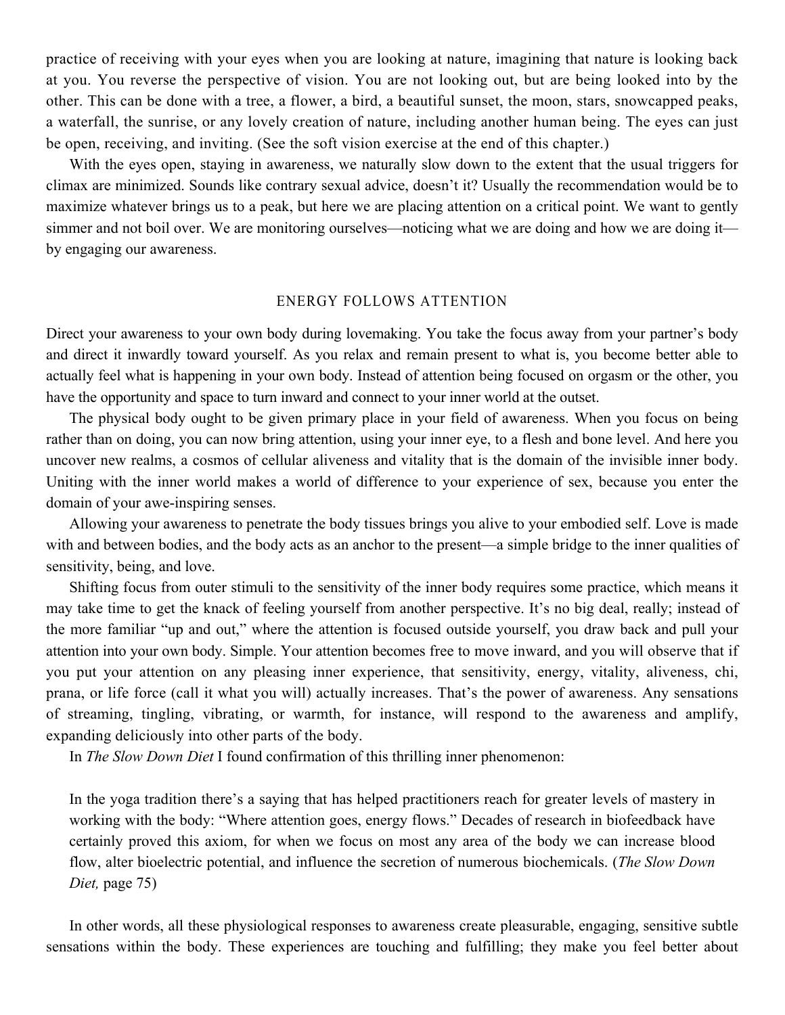practice of receiving with your eyes when you are looking at nature, imagining that nature is looking back at you. You reverse the perspective of vision. You are not looking out, but are being looked into by the other. This can be done with a tree, a flower, a bird, a beautiful sunset, the moon, stars, snowcapped peaks, a waterfall, the sunrise, or any lovely creation of nature, including another human being. The eyes can just be open, receiving, and inviting. (See the soft vision exercise at the end of this chapter.)

With the eyes open, staying in awareness, we naturally slow down to the extent that the usual triggers for climax are minimized. Sounds like contrary sexual advice, doesn't it? Usually the recommendation would be to maximize whatever brings us to a peak, but here we are placing attention on a critical point. We want to gently simmer and not boil over. We are monitoring ourselves—noticing what we are doing and how we are doing it by engaging our awareness.

#### ENERGY FOLLOWS ATTENTION

Direct your awareness to your own body during lovemaking. You take the focus away from your partner's body and direct it inwardly toward yourself. As you relax and remain present to what is, you become better able to actually feel what is happening in your own body. Instead of attention being focused on orgasm or the other, you have the opportunity and space to turn inward and connect to your inner world at the outset.

The physical body ought to be given primary place in your field of awareness. When you focus on being rather than on doing, you can now bring attention, using your inner eye, to a flesh and bone level. And here you uncover new realms, a cosmos of cellular aliveness and vitality that is the domain of the invisible inner body. Uniting with the inner world makes a world of difference to your experience of sex, because you enter the domain of your awe-inspiring senses.

Allowing your awareness to penetrate the body tissues brings you alive to your embodied self. Love is made with and between bodies, and the body acts as an anchor to the present—a simple bridge to the inner qualities of sensitivity, being, and love.

Shifting focus from outer stimuli to the sensitivity of the inner body requires some practice, which means it may take time to get the knack of feeling yourself from another perspective. It's no big deal, really; instead of the more familiar "up and out," where the attention is focused outside yourself, you draw back and pull your attention into your own body. Simple. Your attention becomes free to move inward, and you will observe that if you put your attention on any pleasing inner experience, that sensitivity, energy, vitality, aliveness, chi, prana, or life force (call it what you will) actually increases. That's the power of awareness. Any sensations of streaming, tingling, vibrating, or warmth, for instance, will respond to the awareness and amplify, expanding deliciously into other parts of the body.

In *The Slow Down Diet* I found confirmation of this thrilling inner phenomenon:

In the yoga tradition there's a saying that has helped practitioners reach for greater levels of mastery in working with the body: "Where attention goes, energy flows." Decades of research in biofeedback have certainly proved this axiom, for when we focus on most any area of the body we can increase blood flow, alter bioelectric potential, and influence the secretion of numerous biochemicals. (*The Slow Down Diet,* page 75)

In other words, all these physiological responses to awareness create pleasurable, engaging, sensitive subtle sensations within the body. These experiences are touching and fulfilling; they make you feel better about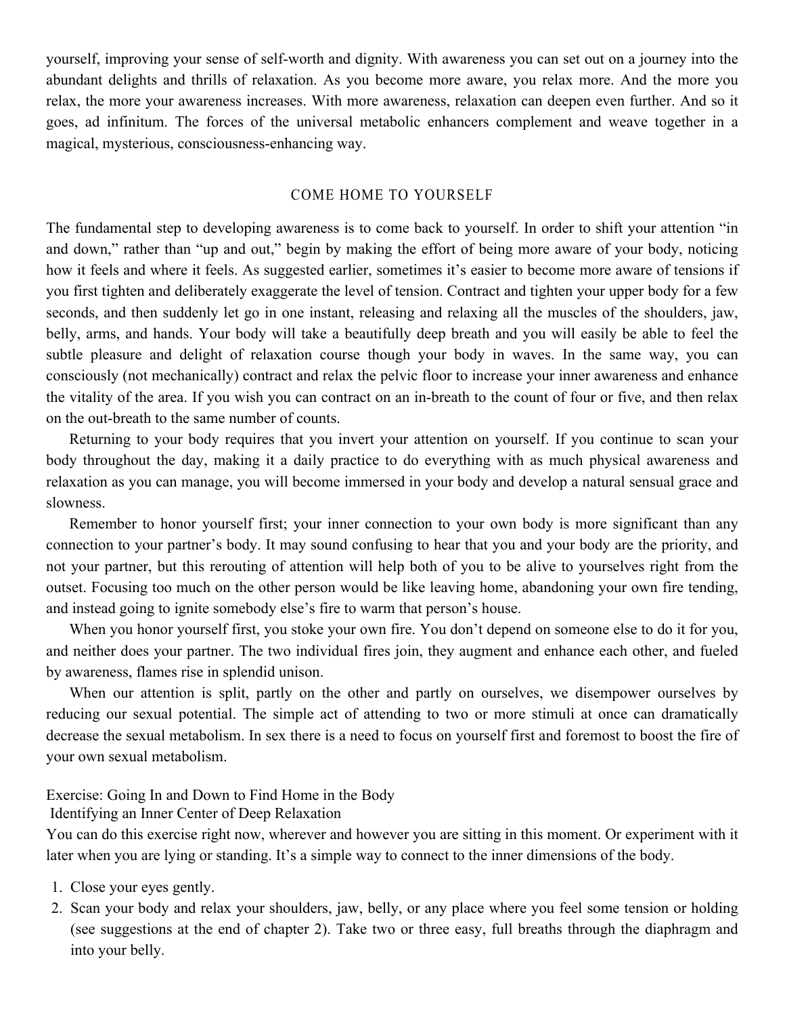yourself, improving your sense of self-worth and dignity. With awareness you can set out on a journey into the abundant delights and thrills of relaxation. As you become more aware, you relax more. And the more you relax, the more your awareness increases. With more awareness, relaxation can deepen even further. And so it goes, ad infinitum. The forces of the universal metabolic enhancers complement and weave together in a magical, mysterious, consciousness-enhancing way.

#### COME HOME TO YOURSELF

The fundamental step to developing awareness is to come back to yourself. In order to shift your attention "in and down," rather than "up and out," begin by making the effort of being more aware of your body, noticing how it feels and where it feels. As suggested earlier, sometimes it's easier to become more aware of tensions if you first tighten and deliberately exaggerate the level of tension. Contract and tighten your upper body for a few seconds, and then suddenly let go in one instant, releasing and relaxing all the muscles of the shoulders, jaw, belly, arms, and hands. Your body will take a beautifully deep breath and you will easily be able to feel the subtle pleasure and delight of relaxation course though your body in waves. In the same way, you can consciously (not mechanically) contract and relax the pelvic floor to increase your inner awareness and enhance the vitality of the area. If you wish you can contract on an in-breath to the count of four or five, and then relax on the out-breath to the same number of counts.

Returning to your body requires that you invert your attention on yourself. If you continue to scan your body throughout the day, making it a daily practice to do everything with as much physical awareness and relaxation as you can manage, you will become immersed in your body and develop a natural sensual grace and slowness.

Remember to honor yourself first; your inner connection to your own body is more significant than any connection to your partner's body. It may sound confusing to hear that you and your body are the priority, and not your partner, but this rerouting of attention will help both of you to be alive to yourselves right from the outset. Focusing too much on the other person would be like leaving home, abandoning your own fire tending, and instead going to ignite somebody else's fire to warm that person's house.

When you honor yourself first, you stoke your own fire. You don't depend on someone else to do it for you, and neither does your partner. The two individual fires join, they augment and enhance each other, and fueled by awareness, flames rise in splendid unison.

When our attention is split, partly on the other and partly on ourselves, we disempower ourselves by reducing our sexual potential. The simple act of attending to two or more stimuli at once can dramatically decrease the sexual metabolism. In sex there is a need to focus on yourself first and foremost to boost the fire of your own sexual metabolism.

Exercise: Going In and Down to Find Home in the Body Identifying an Inner Center of Deep Relaxation

You can do this exercise right now, wherever and however you are sitting in this moment. Or experiment with it later when you are lying or standing. It's a simple way to connect to the inner dimensions of the body.

- 1. Close your eyes gently.
- 2. Scan your body and relax your shoulders, jaw, belly, or any place where you feel some tension or holding (see suggestions at the end of chapter 2). Take two or three easy, full breaths through the diaphragm and into your belly.